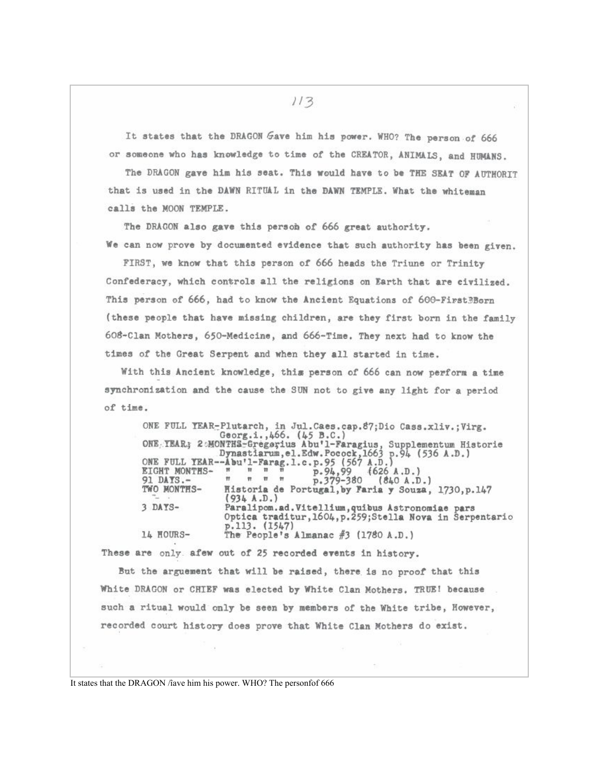It states that the DRAGON Gave him his power. WHO? The person of 666 or someone who has knowledge to time of the CREATOR, ANIMALS, and HUMANS.

The DRAGON gave him his seat. This would have to be THE SEAT OF AUTHORIT that is used in the DAWN RITUAL in the DAWN TEMPLE. What the whiteman calls the MOON TEMPLE.

The DRAGON also gave this person of 666 great authority. We can now prove by documented evidence that such authority has been given.

FIRST, we know that this person of 666 heads the Triune or Trinity Confederacy, which controls all the religions on Earth that are civilized. This person of 666, had to know the Ancient Equations of 600-First3Born (these people that have missing children, are they first born in the family 608-Clan Mothers, 650-Medicine, and 666-Time. They next had to know the times of the Great Serpent and when they all started in time.

With this Ancient knowledge, this person of 666 can now perform a time synchronization and the cause the SUN not to give any light for a period of time.

ONE FULL YEAR-Plutarch, in Jul.Caes.cap.87;Dio Cass.xliv.;Virg. Georg.i., 466. (45 B.C.) ONE, TEAR.; 2:MONTHS-Gregorius Abu'l-Faragius, Supplementum Historie<br>Dynastiarum, el.Edw.Pocock, 1663 p.94 (536 A.D.)<br>ONE FULL TEAR--Abu'l-Farag.l.c.p.95 (567 A.D.) p.94,99  $\mathbf{H}$  $\mathbf{n}$  $\mathbf{H}$ EIGHT MONTHS- $(626 A.D.)$  $^{\rm 77}$  $\mathfrak{m}$  $\pi$   $\pi$ p.379-380 91 DAYS.- $(840 A.D.)$ TWO MONTHS-Historia de Portugal, by Faria y Souza, 1730, p.147  $(934 A.D.)$ 3 DAYS-Paralipom.ad. Vitellium, quibus Astronomiae pars Optica traditur, 1604, p.259; Stella Nova in Serpentario<br>p.113. (1547) 14 MOURS-The People's Almanac  $#3$  (1780 A.D.)

These are only afew out of 25 recorded events in history.

But the arguement that will be raised, there is no proof that this White DRAGON or CHIEF was elected by White Clan Mothers. TRUE! because such a ritual would only be seen by members of the White tribe, However, recorded court history does prove that White Clan Mothers do exist.

It states that the DRAGON /îave him his power. WHO? The personfof 666